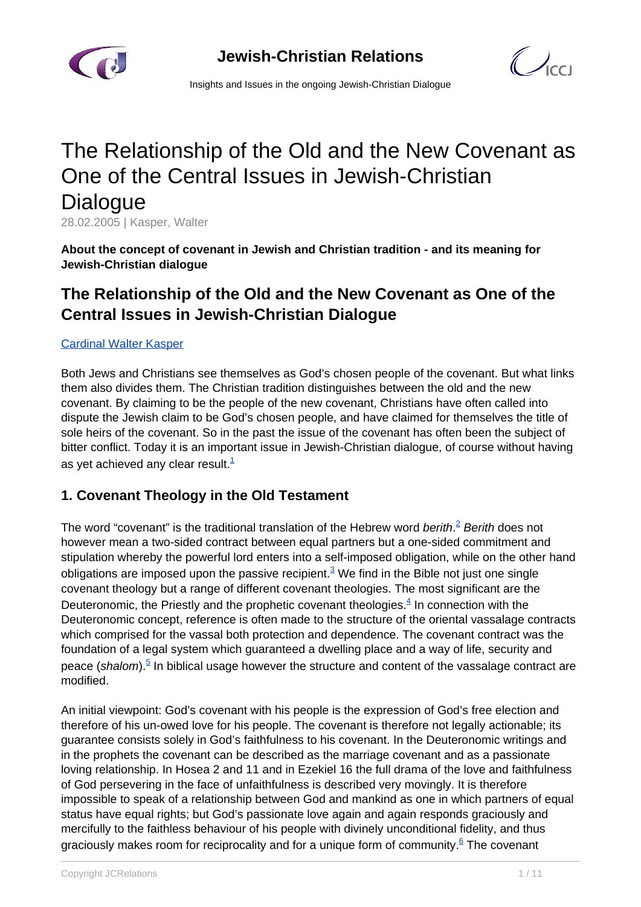



Insights and Issues in the ongoing Jewish-Christian Dialogue

# The Relationship of the Old and the New Covenant as One of the Central Issues in Jewish-Christian **Dialogue**

28.02.2005 | Kasper, Walter

**About the concept of covenant in Jewish and Christian tradition - and its meaning for Jewish-Christian dialogue**

## **The Relationship of the Old and the New Covenant as One of the Central Issues in Jewish-Christian Dialogue**

#### [Cardinal Walter Kasper](/article.html)

Both Jews and Christians see themselves as God's chosen people of the covenant. But what links them also divides them. The Christian tradition distinguishes between the old and the new covenant. By claiming to be the people of the new covenant, Christians have often called into dispute the Jewish claim to be God's chosen people, and have claimed for themselves the title of sole heirs of the covenant. So in the past the issue of the covenant has often been the subject of bitter conflict. Today it is an important issue in Jewish-Christian dialogue, of course without having as yet achieved any clear result. $1/2$ 

#### **1. Covenant Theology in the Old Testament**

The word "covenant" is the traditional translation of the Hebrew word *berith*.<sup>2</sup> Berith does not however mean a two-sided contract between equal partners but a one-sided commitment and stipulation whereby the powerful lord enters into a self-imposed obligation, while on the other hand obligations are imposed upon the passive recipient. $^3$  We find in the Bible not just one single covenant theology but a range of different covenant theologies. The most significant are the Deuteronomic, the Priestly and the prophetic covenant theologies.<sup>4</sup> In connection with the Deuteronomic concept, reference is often made to the structure of the oriental vassalage contracts which comprised for the vassal both protection and dependence. The covenant contract was the foundation of a legal system which guaranteed a dwelling place and a way of life, security and peace (shalom).<sup>5</sup> In biblical usage however the structure and content of the vassalage contract are modified.

An initial viewpoint: God's covenant with his people is the expression of God's free election and therefore of his un-owed love for his people. The covenant is therefore not legally actionable; its guarantee consists solely in God's faithfulness to his covenant. In the Deuteronomic writings and in the prophets the covenant can be described as the marriage covenant and as a passionate loving relationship. In Hosea 2 and 11 and in Ezekiel 16 the full drama of the love and faithfulness of God persevering in the face of unfaithfulness is described very movingly. It is therefore impossible to speak of a relationship between God and mankind as one in which partners of equal status have equal rights; but God's passionate love again and again responds graciously and mercifully to the faithless behaviour of his people with divinely unconditional fidelity, and thus graciously makes room for reciprocality and for a unique form of community.<sup>6</sup> The covenant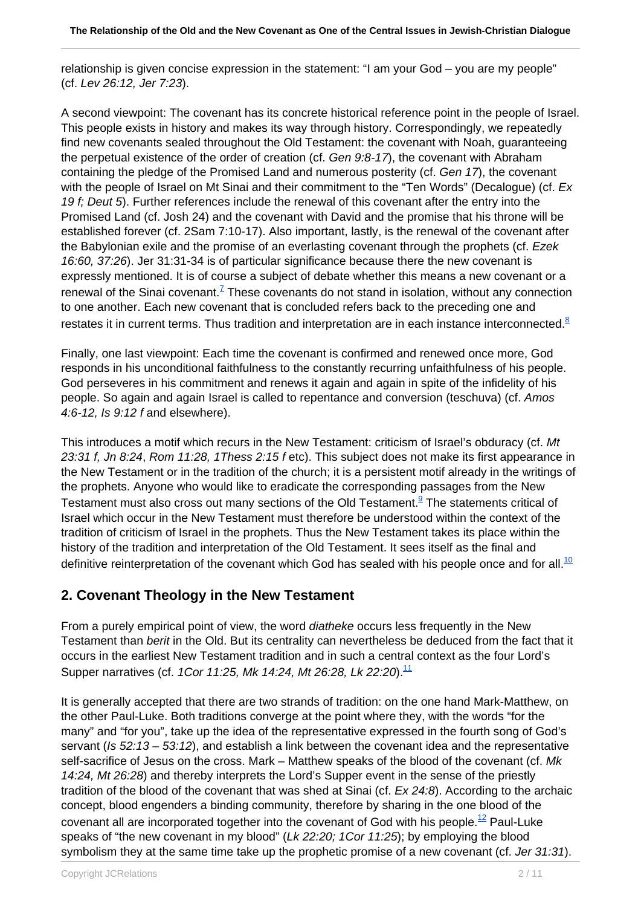relationship is given concise expression in the statement: "I am your God – you are my people" (cf. Lev 26:12, Jer 7:23).

A second viewpoint: The covenant has its concrete historical reference point in the people of Israel. This people exists in history and makes its way through history. Correspondingly, we repeatedly find new covenants sealed throughout the Old Testament: the covenant with Noah, guaranteeing the perpetual existence of the order of creation (cf. Gen 9:8-17), the covenant with Abraham containing the pledge of the Promised Land and numerous posterity (cf. Gen 17), the covenant with the people of Israel on Mt Sinai and their commitment to the "Ten Words" (Decalogue) (cf. Ex 19 f; Deut 5). Further references include the renewal of this covenant after the entry into the Promised Land (cf. Josh 24) and the covenant with David and the promise that his throne will be established forever (cf. 2Sam 7:10-17). Also important, lastly, is the renewal of the covenant after the Babylonian exile and the promise of an everlasting covenant through the prophets (cf. Ezek 16:60, 37:26). Jer 31:31-34 is of particular significance because there the new covenant is expressly mentioned. It is of course a subject of debate whether this means a new covenant or a renewal of the Sinai covenant.<sup>7</sup> These covenants do not stand in isolation, without any connection to one another. Each new covenant that is concluded refers back to the preceding one and restates it in current terms. Thus tradition and interpretation are in each instance interconnected. $8$ 

Finally, one last viewpoint: Each time the covenant is confirmed and renewed once more, God responds in his unconditional faithfulness to the constantly recurring unfaithfulness of his people. God perseveres in his commitment and renews it again and again in spite of the infidelity of his people. So again and again Israel is called to repentance and conversion (teschuva) (cf. Amos 4:6-12, Is 9:12 f and elsewhere).

This introduces a motif which recurs in the New Testament: criticism of Israel's obduracy (cf. Mt 23:31 f, Jn 8:24, Rom 11:28, 1Thess 2:15 f etc). This subject does not make its first appearance in the New Testament or in the tradition of the church; it is a persistent motif already in the writings of the prophets. Anyone who would like to eradicate the corresponding passages from the New Testament must also cross out many sections of the Old Testament.<sup>9</sup> The statements critical of Israel which occur in the New Testament must therefore be understood within the context of the tradition of criticism of Israel in the prophets. Thus the New Testament takes its place within the history of the tradition and interpretation of the Old Testament. It sees itself as the final and definitive reinterpretation of the covenant which God has sealed with his people once and for all.<sup>10</sup>

## **2. Covenant Theology in the New Testament**

From a purely empirical point of view, the word *diatheke* occurs less frequently in the New Testament than berit in the Old. But its centrality can nevertheless be deduced from the fact that it occurs in the earliest New Testament tradition and in such a central context as the four Lord's Supper narratives (cf. 1Cor 11:25, Mk 14:24, Mt 26:28, Lk 22:20).<sup>11</sup>

It is generally accepted that there are two strands of tradition: on the one hand Mark-Matthew, on the other Paul-Luke. Both traditions converge at the point where they, with the words "for the many" and "for you", take up the idea of the representative expressed in the fourth song of God's servant (Is  $52:13 - 53:12$ ), and establish a link between the covenant idea and the representative self-sacrifice of Jesus on the cross. Mark – Matthew speaks of the blood of the covenant (cf. Mk 14:24, Mt 26:28) and thereby interprets the Lord's Supper event in the sense of the priestly tradition of the blood of the covenant that was shed at Sinai (cf. Ex 24:8). According to the archaic concept, blood engenders a binding community, therefore by sharing in the one blood of the covenant all are incorporated together into the covenant of God with his people.<sup>12</sup> Paul-Luke speaks of "the new covenant in my blood" (Lk 22:20; 1Cor 11:25); by employing the blood symbolism they at the same time take up the prophetic promise of a new covenant (cf. Jer 31:31).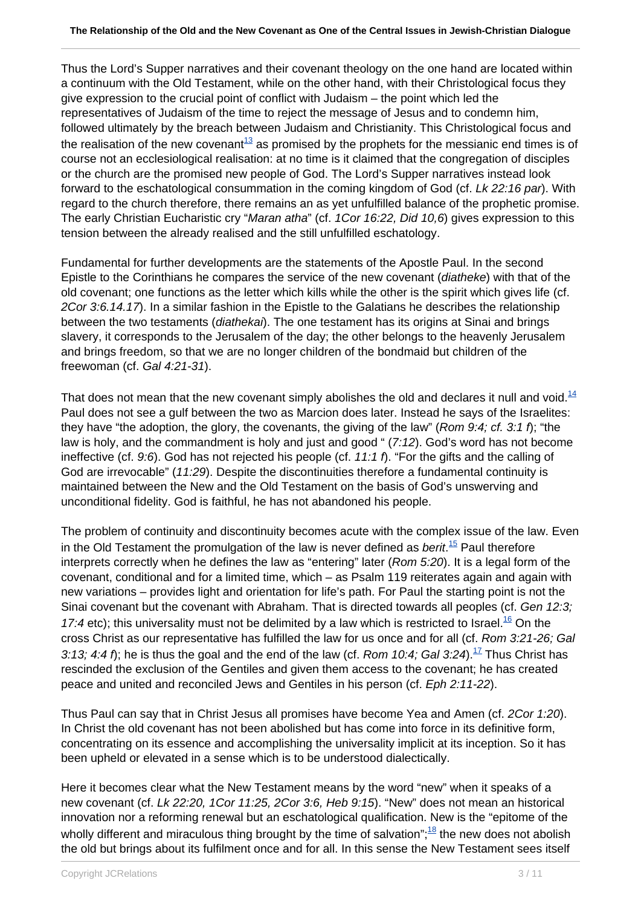Thus the Lord's Supper narratives and their covenant theology on the one hand are located within a continuum with the Old Testament, while on the other hand, with their Christological focus they give expression to the crucial point of conflict with Judaism – the point which led the representatives of Judaism of the time to reject the message of Jesus and to condemn him, followed ultimately by the breach between Judaism and Christianity. This Christological focus and the realisation of the new covenant<sup>13</sup> as promised by the prophets for the messianic end times is of course not an ecclesiological realisation: at no time is it claimed that the congregation of disciples or the church are the promised new people of God. The Lord's Supper narratives instead look forward to the eschatological consummation in the coming kingdom of God (cf. Lk 22:16 par). With regard to the church therefore, there remains an as yet unfulfilled balance of the prophetic promise. The early Christian Eucharistic cry "Maran atha" (cf. 1Cor 16:22, Did 10,6) gives expression to this tension between the already realised and the still unfulfilled eschatology.

Fundamental for further developments are the statements of the Apostle Paul. In the second Epistle to the Corinthians he compares the service of the new covenant (diatheke) with that of the old covenant; one functions as the letter which kills while the other is the spirit which gives life (cf. 2Cor 3:6.14.17). In a similar fashion in the Epistle to the Galatians he describes the relationship between the two testaments (diathekai). The one testament has its origins at Sinai and brings slavery, it corresponds to the Jerusalem of the day; the other belongs to the heavenly Jerusalem and brings freedom, so that we are no longer children of the bondmaid but children of the freewoman (cf. Gal 4:21-31).

That does not mean that the new covenant simply abolishes the old and declares it null and void. $14$ Paul does not see a gulf between the two as Marcion does later. Instead he says of the Israelites: they have "the adoption, the glory, the covenants, the giving of the law" (Rom 9:4; cf. 3:1 f); "the law is holy, and the commandment is holy and just and good " (7:12). God's word has not become ineffective (cf. 9:6). God has not rejected his people (cf. 11:1 f). "For the gifts and the calling of God are irrevocable" (11:29). Despite the discontinuities therefore a fundamental continuity is maintained between the New and the Old Testament on the basis of God's unswerving and unconditional fidelity. God is faithful, he has not abandoned his people.

The problem of continuity and discontinuity becomes acute with the complex issue of the law. Even in the Old Testament the promulgation of the law is never defined as *berit*.<sup>15</sup> Paul therefore interprets correctly when he defines the law as "entering" later (Rom 5:20). It is a legal form of the covenant, conditional and for a limited time, which – as Psalm 119 reiterates again and again with new variations – provides light and orientation for life's path. For Paul the starting point is not the Sinai covenant but the covenant with Abraham. That is directed towards all peoples (cf. Gen 12:3; 17:4 etc); this universality must not be delimited by a law which is restricted to Israel.<sup>16</sup> On the cross Christ as our representative has fulfilled the law for us once and for all (cf. Rom 3:21-26; Gal 3:13; 4:4 f); he is thus the goal and the end of the law (cf. Rom 10:4; Gal 3:24).<sup>17</sup> Thus Christ has rescinded the exclusion of the Gentiles and given them access to the covenant; he has created peace and united and reconciled Jews and Gentiles in his person (cf. Eph 2:11-22).

Thus Paul can say that in Christ Jesus all promises have become Yea and Amen (cf. 2Cor 1:20). In Christ the old covenant has not been abolished but has come into force in its definitive form, concentrating on its essence and accomplishing the universality implicit at its inception. So it has been upheld or elevated in a sense which is to be understood dialectically.

Here it becomes clear what the New Testament means by the word "new" when it speaks of a new covenant (cf. Lk 22:20, 1Cor 11:25, 2Cor 3:6, Heb 9:15). "New" does not mean an historical innovation nor a reforming renewal but an eschatological qualification. New is the "epitome of the wholly different and miraculous thing brought by the time of salvation"; $^{18}$  the new does not abolish the old but brings about its fulfilment once and for all. In this sense the New Testament sees itself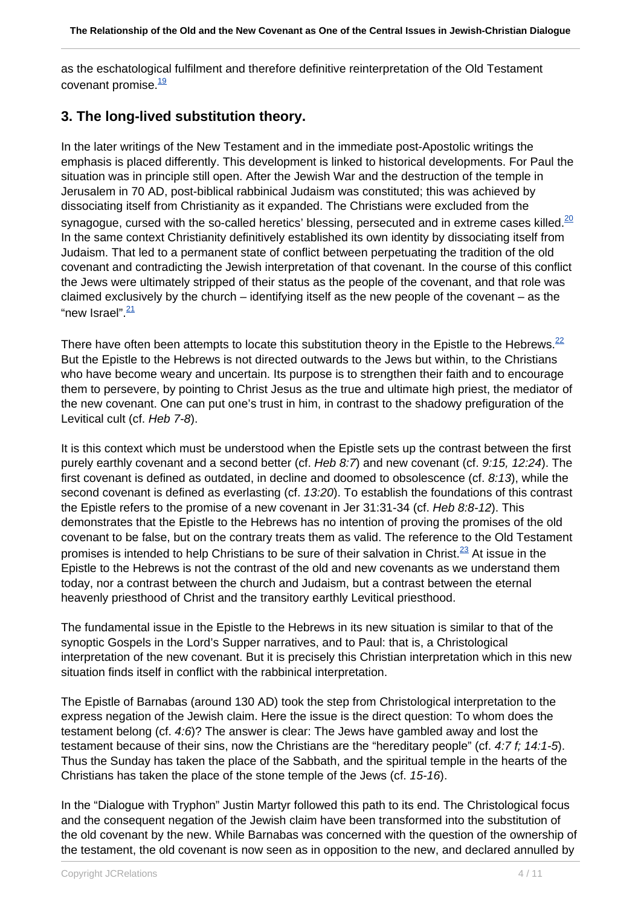as the eschatological fulfilment and therefore definitive reinterpretation of the Old Testament covenant promise $\frac{19}{1}$ 

## **3. The long-lived substitution theory.**

In the later writings of the New Testament and in the immediate post-Apostolic writings the emphasis is placed differently. This development is linked to historical developments. For Paul the situation was in principle still open. After the Jewish War and the destruction of the temple in Jerusalem in 70 AD, post-biblical rabbinical Judaism was constituted; this was achieved by dissociating itself from Christianity as it expanded. The Christians were excluded from the synagogue, cursed with the so-called heretics' blessing, persecuted and in extreme cases killed. $^{20}$ In the same context Christianity definitively established its own identity by dissociating itself from Judaism. That led to a permanent state of conflict between perpetuating the tradition of the old covenant and contradicting the Jewish interpretation of that covenant. In the course of this conflict the Jews were ultimately stripped of their status as the people of the covenant, and that role was claimed exclusively by the church – identifying itself as the new people of the covenant – as the "new Israel". $\frac{21}{1}$ 

There have often been attempts to locate this substitution theory in the Epistle to the Hebrews.<sup>22</sup> But the Epistle to the Hebrews is not directed outwards to the Jews but within, to the Christians who have become weary and uncertain. Its purpose is to strengthen their faith and to encourage them to persevere, by pointing to Christ Jesus as the true and ultimate high priest, the mediator of the new covenant. One can put one's trust in him, in contrast to the shadowy prefiguration of the Levitical cult (cf. Heb 7-8).

It is this context which must be understood when the Epistle sets up the contrast between the first purely earthly covenant and a second better (cf. Heb 8:7) and new covenant (cf. 9:15, 12:24). The first covenant is defined as outdated, in decline and doomed to obsolescence (cf. 8:13), while the second covenant is defined as everlasting (cf. 13:20). To establish the foundations of this contrast the Epistle refers to the promise of a new covenant in Jer 31:31-34 (cf. Heb 8:8-12). This demonstrates that the Epistle to the Hebrews has no intention of proving the promises of the old covenant to be false, but on the contrary treats them as valid. The reference to the Old Testament promises is intended to help Christians to be sure of their salvation in Christ. $^{23}$  At issue in the Epistle to the Hebrews is not the contrast of the old and new covenants as we understand them today, nor a contrast between the church and Judaism, but a contrast between the eternal heavenly priesthood of Christ and the transitory earthly Levitical priesthood.

The fundamental issue in the Epistle to the Hebrews in its new situation is similar to that of the synoptic Gospels in the Lord's Supper narratives, and to Paul: that is, a Christological interpretation of the new covenant. But it is precisely this Christian interpretation which in this new situation finds itself in conflict with the rabbinical interpretation.

The Epistle of Barnabas (around 130 AD) took the step from Christological interpretation to the express negation of the Jewish claim. Here the issue is the direct question: To whom does the testament belong (cf. 4:6)? The answer is clear: The Jews have gambled away and lost the testament because of their sins, now the Christians are the "hereditary people" (cf. 4:7 f; 14:1-5). Thus the Sunday has taken the place of the Sabbath, and the spiritual temple in the hearts of the Christians has taken the place of the stone temple of the Jews (cf. 15-16).

In the "Dialogue with Tryphon" Justin Martyr followed this path to its end. The Christological focus and the consequent negation of the Jewish claim have been transformed into the substitution of the old covenant by the new. While Barnabas was concerned with the question of the ownership of the testament, the old covenant is now seen as in opposition to the new, and declared annulled by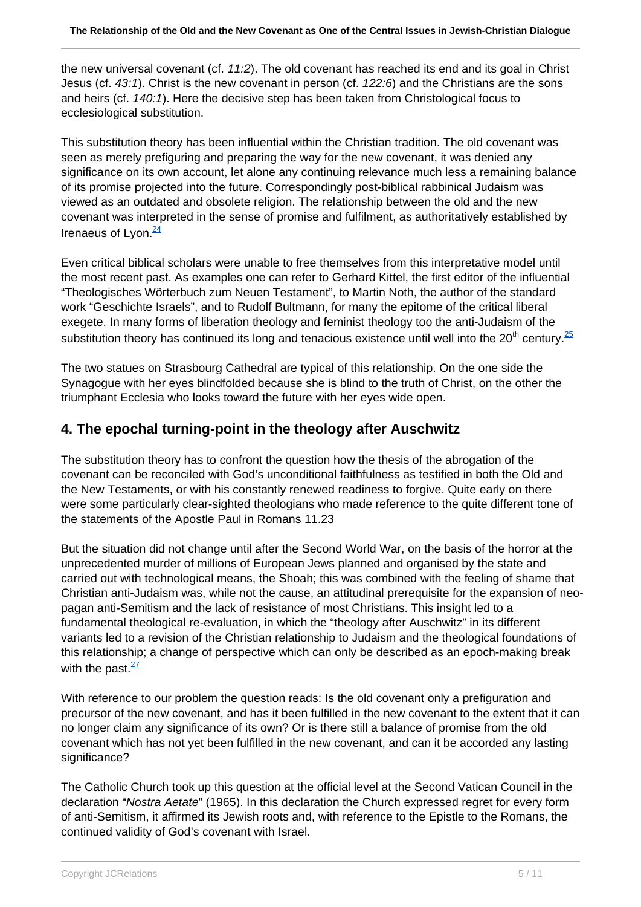the new universal covenant (cf. 11:2). The old covenant has reached its end and its goal in Christ Jesus (cf. 43:1). Christ is the new covenant in person (cf. 122:6) and the Christians are the sons and heirs (cf. 140:1). Here the decisive step has been taken from Christological focus to ecclesiological substitution.

This substitution theory has been influential within the Christian tradition. The old covenant was seen as merely prefiguring and preparing the way for the new covenant, it was denied any significance on its own account, let alone any continuing relevance much less a remaining balance of its promise projected into the future. Correspondingly post-biblical rabbinical Judaism was viewed as an outdated and obsolete religion. The relationship between the old and the new covenant was interpreted in the sense of promise and fulfilment, as authoritatively established by Irenaeus of Lyon. $\frac{24}{3}$ 

Even critical biblical scholars were unable to free themselves from this interpretative model until the most recent past. As examples one can refer to Gerhard Kittel, the first editor of the influential "Theologisches Wörterbuch zum Neuen Testament", to Martin Noth, the author of the standard work "Geschichte Israels", and to Rudolf Bultmann, for many the epitome of the critical liberal exegete. In many forms of liberation theology and feminist theology too the anti-Judaism of the substitution theory has continued its long and tenacious existence until well into the 20<sup>th</sup> century.<sup>25</sup>

The two statues on Strasbourg Cathedral are typical of this relationship. On the one side the Synagogue with her eyes blindfolded because she is blind to the truth of Christ, on the other the triumphant Ecclesia who looks toward the future with her eyes wide open.

## **4. The epochal turning-point in the theology after Auschwitz**

The substitution theory has to confront the question how the thesis of the abrogation of the covenant can be reconciled with God's unconditional faithfulness as testified in both the Old and the New Testaments, or with his constantly renewed readiness to forgive. Quite early on there were some particularly clear-sighted theologians who made reference to the quite different tone of the statements of the Apostle Paul in Romans 11.23

But the situation did not change until after the Second World War, on the basis of the horror at the unprecedented murder of millions of European Jews planned and organised by the state and carried out with technological means, the Shoah; this was combined with the feeling of shame that Christian anti-Judaism was, while not the cause, an attitudinal prerequisite for the expansion of neopagan anti-Semitism and the lack of resistance of most Christians. This insight led to a fundamental theological re-evaluation, in which the "theology after Auschwitz" in its different variants led to a revision of the Christian relationship to Judaism and the theological foundations of this relationship; a change of perspective which can only be described as an epoch-making break with the past. $\frac{27}{2}$ 

With reference to our problem the question reads: Is the old covenant only a prefiguration and precursor of the new covenant, and has it been fulfilled in the new covenant to the extent that it can no longer claim any significance of its own? Or is there still a balance of promise from the old covenant which has not yet been fulfilled in the new covenant, and can it be accorded any lasting significance?

The Catholic Church took up this question at the official level at the Second Vatican Council in the declaration "Nostra Aetate" (1965). In this declaration the Church expressed regret for every form of anti-Semitism, it affirmed its Jewish roots and, with reference to the Epistle to the Romans, the continued validity of God's covenant with Israel.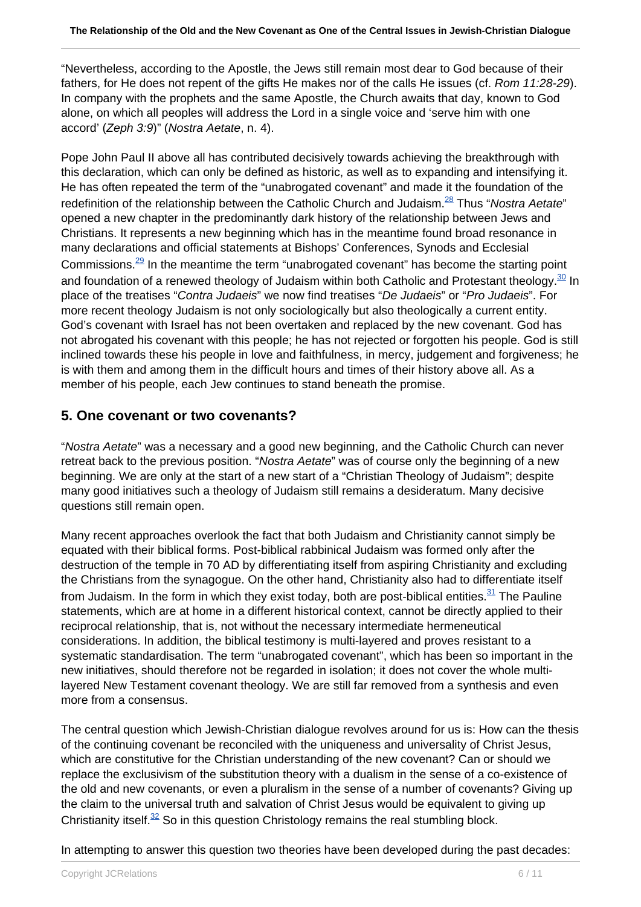"Nevertheless, according to the Apostle, the Jews still remain most dear to God because of their fathers, for He does not repent of the gifts He makes nor of the calls He issues (cf. Rom 11:28-29). In company with the prophets and the same Apostle, the Church awaits that day, known to God alone, on which all peoples will address the Lord in a single voice and 'serve him with one accord' (Zeph 3:9)" (Nostra Aetate, n. 4).

Pope John Paul II above all has contributed decisively towards achieving the breakthrough with this declaration, which can only be defined as historic, as well as to expanding and intensifying it. He has often repeated the term of the "unabrogated covenant" and made it the foundation of the redefinition of the relationship between the Catholic Church and Judaism.<sup>28</sup> Thus "Nostra Aetate" opened a new chapter in the predominantly dark history of the relationship between Jews and Christians. It represents a new beginning which has in the meantime found broad resonance in many declarations and official statements at Bishops' Conferences, Synods and Ecclesial Commissions. $29$  In the meantime the term "unabrogated covenant" has become the starting point and foundation of a renewed theology of Judaism within both Catholic and Protestant theology.<sup>30</sup> In place of the treatises "Contra Judaeis" we now find treatises "De Judaeis" or "Pro Judaeis". For more recent theology Judaism is not only sociologically but also theologically a current entity. God's covenant with Israel has not been overtaken and replaced by the new covenant. God has not abrogated his covenant with this people; he has not rejected or forgotten his people. God is still inclined towards these his people in love and faithfulness, in mercy, judgement and forgiveness; he is with them and among them in the difficult hours and times of their history above all. As a member of his people, each Jew continues to stand beneath the promise.

#### **5. One covenant or two covenants?**

"Nostra Aetate" was a necessary and a good new beginning, and the Catholic Church can never retreat back to the previous position. "Nostra Aetate" was of course only the beginning of a new beginning. We are only at the start of a new start of a "Christian Theology of Judaism"; despite many good initiatives such a theology of Judaism still remains a desideratum. Many decisive questions still remain open.

Many recent approaches overlook the fact that both Judaism and Christianity cannot simply be equated with their biblical forms. Post-biblical rabbinical Judaism was formed only after the destruction of the temple in 70 AD by differentiating itself from aspiring Christianity and excluding the Christians from the synagogue. On the other hand, Christianity also had to differentiate itself from Judaism. In the form in which they exist today, both are post-biblical entities. $31$  The Pauline statements, which are at home in a different historical context, cannot be directly applied to their reciprocal relationship, that is, not without the necessary intermediate hermeneutical considerations. In addition, the biblical testimony is multi-layered and proves resistant to a systematic standardisation. The term "unabrogated covenant", which has been so important in the new initiatives, should therefore not be regarded in isolation; it does not cover the whole multilayered New Testament covenant theology. We are still far removed from a synthesis and even more from a consensus.

The central question which Jewish-Christian dialogue revolves around for us is: How can the thesis of the continuing covenant be reconciled with the uniqueness and universality of Christ Jesus, which are constitutive for the Christian understanding of the new covenant? Can or should we replace the exclusivism of the substitution theory with a dualism in the sense of a co-existence of the old and new covenants, or even a pluralism in the sense of a number of covenants? Giving up the claim to the universal truth and salvation of Christ Jesus would be equivalent to giving up Christianity itself. $32$  So in this question Christology remains the real stumbling block.

In attempting to answer this question two theories have been developed during the past decades: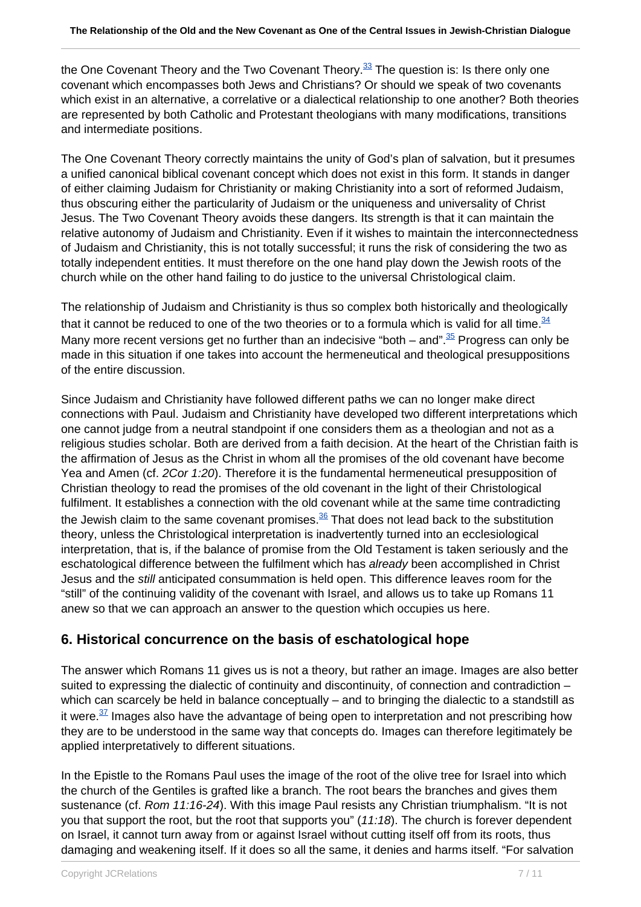the One Covenant Theory and the Two Covenant Theory.<sup>33</sup> The question is: Is there only one covenant which encompasses both Jews and Christians? Or should we speak of two covenants which exist in an alternative, a correlative or a dialectical relationship to one another? Both theories are represented by both Catholic and Protestant theologians with many modifications, transitions and intermediate positions.

The One Covenant Theory correctly maintains the unity of God's plan of salvation, but it presumes a unified canonical biblical covenant concept which does not exist in this form. It stands in danger of either claiming Judaism for Christianity or making Christianity into a sort of reformed Judaism, thus obscuring either the particularity of Judaism or the uniqueness and universality of Christ Jesus. The Two Covenant Theory avoids these dangers. Its strength is that it can maintain the relative autonomy of Judaism and Christianity. Even if it wishes to maintain the interconnectedness of Judaism and Christianity, this is not totally successful; it runs the risk of considering the two as totally independent entities. It must therefore on the one hand play down the Jewish roots of the church while on the other hand failing to do justice to the universal Christological claim.

The relationship of Judaism and Christianity is thus so complex both historically and theologically that it cannot be reduced to one of the two theories or to a formula which is valid for all time. $34$ Many more recent versions get no further than an indecisive "both – and".<sup>35</sup> Progress can only be made in this situation if one takes into account the hermeneutical and theological presuppositions of the entire discussion.

Since Judaism and Christianity have followed different paths we can no longer make direct connections with Paul. Judaism and Christianity have developed two different interpretations which one cannot judge from a neutral standpoint if one considers them as a theologian and not as a religious studies scholar. Both are derived from a faith decision. At the heart of the Christian faith is the affirmation of Jesus as the Christ in whom all the promises of the old covenant have become Yea and Amen (cf. 2Cor 1:20). Therefore it is the fundamental hermeneutical presupposition of Christian theology to read the promises of the old covenant in the light of their Christological fulfilment. It establishes a connection with the old covenant while at the same time contradicting the Jewish claim to the same covenant promises. $36$  That does not lead back to the substitution theory, unless the Christological interpretation is inadvertently turned into an ecclesiological interpretation, that is, if the balance of promise from the Old Testament is taken seriously and the eschatological difference between the fulfilment which has already been accomplished in Christ Jesus and the still anticipated consummation is held open. This difference leaves room for the "still" of the continuing validity of the covenant with Israel, and allows us to take up Romans 11 anew so that we can approach an answer to the question which occupies us here.

#### **6. Historical concurrence on the basis of eschatological hope**

The answer which Romans 11 gives us is not a theory, but rather an image. Images are also better suited to expressing the dialectic of continuity and discontinuity, of connection and contradiction – which can scarcely be held in balance conceptually – and to bringing the dialectic to a standstill as it were. $37$  Images also have the advantage of being open to interpretation and not prescribing how they are to be understood in the same way that concepts do. Images can therefore legitimately be applied interpretatively to different situations.

In the Epistle to the Romans Paul uses the image of the root of the olive tree for Israel into which the church of the Gentiles is grafted like a branch. The root bears the branches and gives them sustenance (cf. Rom 11:16-24). With this image Paul resists any Christian triumphalism. "It is not you that support the root, but the root that supports you" (11:18). The church is forever dependent on Israel, it cannot turn away from or against Israel without cutting itself off from its roots, thus damaging and weakening itself. If it does so all the same, it denies and harms itself. "For salvation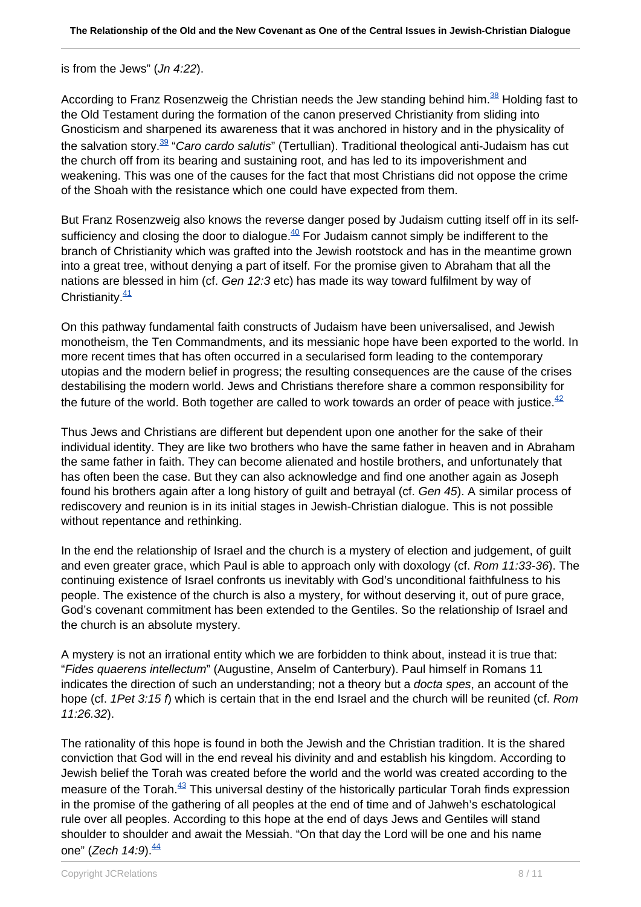#### is from the Jews" (Jn 4:22).

According to Franz Rosenzweig the Christian needs the Jew standing behind him. $38$  Holding fast to the Old Testament during the formation of the canon preserved Christianity from sliding into Gnosticism and sharpened its awareness that it was anchored in history and in the physicality of the salvation story.<sup>39</sup> "Caro cardo salutis" (Tertullian). Traditional theological anti-Judaism has cut the church off from its bearing and sustaining root, and has led to its impoverishment and weakening. This was one of the causes for the fact that most Christians did not oppose the crime of the Shoah with the resistance which one could have expected from them.

But Franz Rosenzweig also knows the reverse danger posed by Judaism cutting itself off in its selfsufficiency and closing the door to dialogue.<sup>40</sup> For Judaism cannot simply be indifferent to the branch of Christianity which was grafted into the Jewish rootstock and has in the meantime grown into a great tree, without denying a part of itself. For the promise given to Abraham that all the nations are blessed in him (cf. Gen 12:3 etc) has made its way toward fulfilment by way of Christianity $\frac{41}{1}$ 

On this pathway fundamental faith constructs of Judaism have been universalised, and Jewish monotheism, the Ten Commandments, and its messianic hope have been exported to the world. In more recent times that has often occurred in a secularised form leading to the contemporary utopias and the modern belief in progress; the resulting consequences are the cause of the crises destabilising the modern world. Jews and Christians therefore share a common responsibility for the future of the world. Both together are called to work towards an order of peace with justice.  $42$ 

Thus Jews and Christians are different but dependent upon one another for the sake of their individual identity. They are like two brothers who have the same father in heaven and in Abraham the same father in faith. They can become alienated and hostile brothers, and unfortunately that has often been the case. But they can also acknowledge and find one another again as Joseph found his brothers again after a long history of guilt and betrayal (cf. Gen 45). A similar process of rediscovery and reunion is in its initial stages in Jewish-Christian dialogue. This is not possible without repentance and rethinking.

In the end the relationship of Israel and the church is a mystery of election and judgement, of guilt and even greater grace, which Paul is able to approach only with doxology (cf. Rom 11:33-36). The continuing existence of Israel confronts us inevitably with God's unconditional faithfulness to his people. The existence of the church is also a mystery, for without deserving it, out of pure grace, God's covenant commitment has been extended to the Gentiles. So the relationship of Israel and the church is an absolute mystery.

A mystery is not an irrational entity which we are forbidden to think about, instead it is true that: "Fides quaerens intellectum" (Augustine, Anselm of Canterbury). Paul himself in Romans 11 indicates the direction of such an understanding; not a theory but a docta spes, an account of the hope (cf. 1Pet 3:15 f) which is certain that in the end Israel and the church will be reunited (cf. Rom 11:26.32).

The rationality of this hope is found in both the Jewish and the Christian tradition. It is the shared conviction that God will in the end reveal his divinity and and establish his kingdom. According to Jewish belief the Torah was created before the world and the world was created according to the measure of the Torah.<sup>43</sup> This universal destiny of the historically particular Torah finds expression in the promise of the gathering of all peoples at the end of time and of Jahweh's eschatological rule over all peoples. According to this hope at the end of days Jews and Gentiles will stand shoulder to shoulder and await the Messiah. "On that day the Lord will be one and his name one" (Zech  $14:9$ ).  $\frac{44}{3}$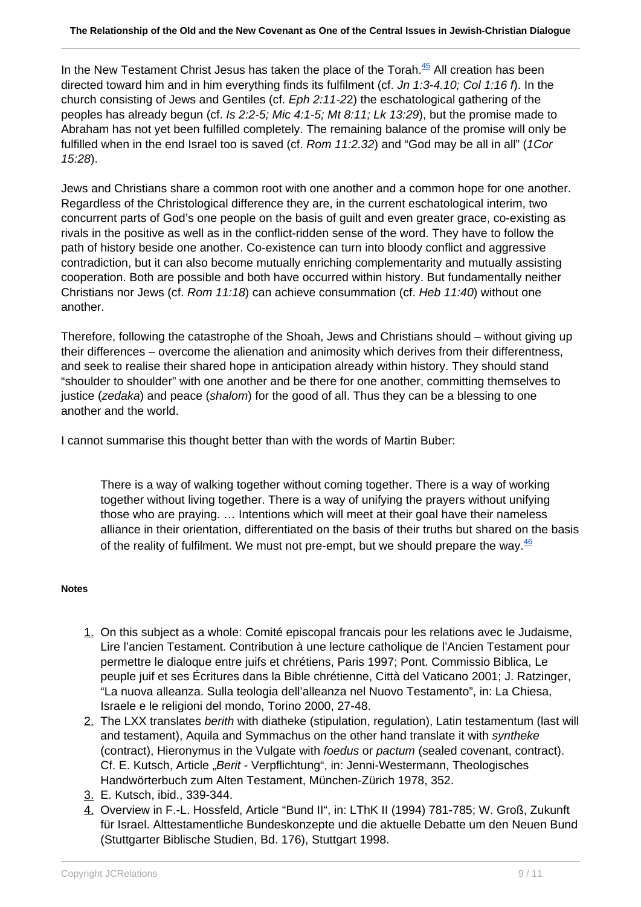In the New Testament Christ Jesus has taken the place of the Torah.<sup>45</sup> All creation has been directed toward him and in him everything finds its fulfilment (cf. Jn 1:3-4.10; Col 1:16 f). In the church consisting of Jews and Gentiles (cf. Eph 2:11-22) the eschatological gathering of the peoples has already begun (cf. Is 2:2-5; Mic 4:1-5; Mt 8:11; Lk 13:29), but the promise made to Abraham has not yet been fulfilled completely. The remaining balance of the promise will only be fulfilled when in the end Israel too is saved (cf. Rom 11:2.32) and "God may be all in all" (1Cor 15:28).

Jews and Christians share a common root with one another and a common hope for one another. Regardless of the Christological difference they are, in the current eschatological interim, two concurrent parts of God's one people on the basis of guilt and even greater grace, co-existing as rivals in the positive as well as in the conflict-ridden sense of the word. They have to follow the path of history beside one another. Co-existence can turn into bloody conflict and aggressive contradiction, but it can also become mutually enriching complementarity and mutually assisting cooperation. Both are possible and both have occurred within history. But fundamentally neither Christians nor Jews (cf. Rom 11:18) can achieve consummation (cf. Heb 11:40) without one another.

Therefore, following the catastrophe of the Shoah, Jews and Christians should – without giving up their differences – overcome the alienation and animosity which derives from their differentness, and seek to realise their shared hope in anticipation already within history. They should stand "shoulder to shoulder" with one another and be there for one another, committing themselves to justice (*zedaka*) and peace (shalom) for the good of all. Thus they can be a blessing to one another and the world.

I cannot summarise this thought better than with the words of Martin Buber:

There is a way of walking together without coming together. There is a way of working together without living together. There is a way of unifying the prayers without unifying those who are praying. … Intentions which will meet at their goal have their nameless alliance in their orientation, differentiated on the basis of their truths but shared on the basis of the reality of fulfilment. We must not pre-empt, but we should prepare the way. $46$ 

#### **Notes**

- 1. On this subject as a whole: Comité episcopal francais pour les relations avec le Judaisme, Lire l'ancien Testament. Contribution à une lecture catholique de l'Ancien Testament pour permettre le dialoque entre juifs et chrétiens, Paris 1997; Pont. Commissio Biblica, Le peuple juif et ses Écritures dans la Bible chrétienne, Città del Vaticano 2001; J. Ratzinger, "La nuova alleanza. Sulla teologia dell'alleanza nel Nuovo Testamento", in: La Chiesa, Israele e le religioni del mondo, Torino 2000, 27-48.
- 2. The LXX translates *berith* with diatheke (stipulation, regulation), Latin testamentum (last will and testament), Aquila and Symmachus on the other hand translate it with syntheke (contract), Hieronymus in the Vulgate with foedus or pactum (sealed covenant, contract). Cf. E. Kutsch, Article "Berit - Verpflichtung", in: Jenni-Westermann, Theologisches Handwörterbuch zum Alten Testament, München-Zürich 1978, 352.
- 3. E. Kutsch, ibid., 339-344.
- 4. Overview in F.-L. Hossfeld, Article "Bund II", in: LThK II (1994) 781-785; W. Groß, Zukunft für Israel. Alttestamentliche Bundeskonzepte und die aktuelle Debatte um den Neuen Bund (Stuttgarter Biblische Studien, Bd. 176), Stuttgart 1998.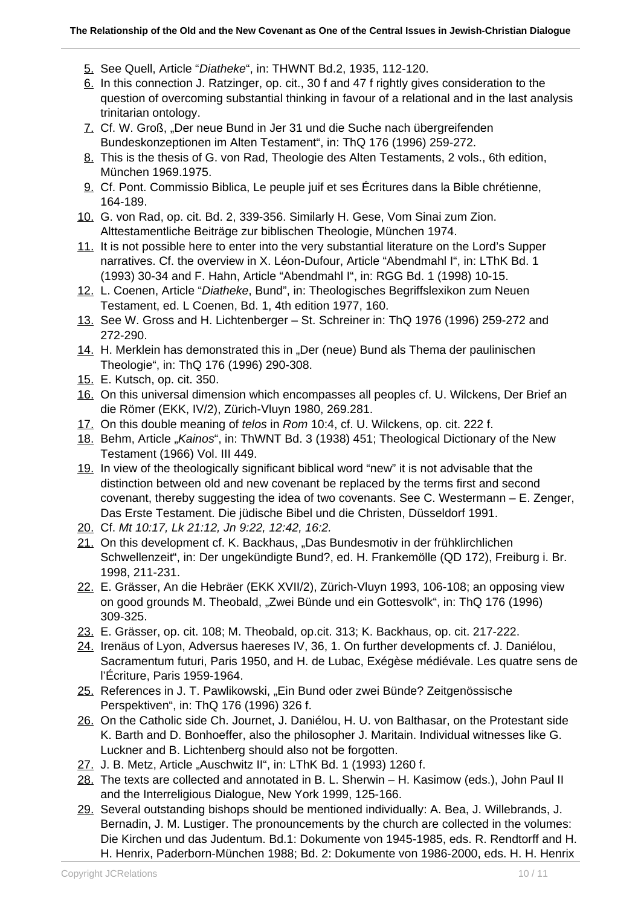- 5. See Quell, Article "Diatheke", in: THWNT Bd.2, 1935, 112-120.
- 6. In this connection J. Ratzinger, op. cit., 30 f and 47 f rightly gives consideration to the question of overcoming substantial thinking in favour of a relational and in the last analysis trinitarian ontology.
- 7. Cf. W. Groß, "Der neue Bund in Jer 31 und die Suche nach übergreifenden Bundeskonzeptionen im Alten Testament", in: ThQ 176 (1996) 259-272.
- 8. This is the thesis of G. von Rad, Theologie des Alten Testaments, 2 vols., 6th edition, München 1969.1975.
- 9. Cf. Pont. Commissio Biblica, Le peuple juif et ses Écritures dans la Bible chrétienne, 164-189.
- 10. G. von Rad, op. cit. Bd. 2, 339-356. Similarly H. Gese, Vom Sinai zum Zion. Alttestamentliche Beiträge zur biblischen Theologie, München 1974.
- 11. It is not possible here to enter into the very substantial literature on the Lord's Supper narratives. Cf. the overview in X. Léon-Dufour, Article "Abendmahl I", in: LThK Bd. 1 (1993) 30-34 and F. Hahn, Article "Abendmahl I", in: RGG Bd. 1 (1998) 10-15.
- 12. L. Coenen, Article "Diatheke, Bund", in: Theologisches Begriffslexikon zum Neuen Testament, ed. L Coenen, Bd. 1, 4th edition 1977, 160.
- 13. See W. Gross and H. Lichtenberger St. Schreiner in: ThQ 1976 (1996) 259-272 and 272-290.
- 14. H. Merklein has demonstrated this in "Der (neue) Bund als Thema der paulinischen Theologie", in: ThQ 176 (1996) 290-308.
- 15. E. Kutsch, op. cit. 350.
- 16. On this universal dimension which encompasses all peoples cf. U. Wilckens, Der Brief an die Römer (EKK, IV/2), Zürich-Vluyn 1980, 269.281.
- 17. On this double meaning of telos in Rom 10:4, cf. U. Wilckens, op. cit. 222 f.
- 18. Behm, Article "Kainos", in: ThWNT Bd. 3 (1938) 451; Theological Dictionary of the New Testament (1966) Vol. III 449.
- 19. In view of the theologically significant biblical word "new" it is not advisable that the distinction between old and new covenant be replaced by the terms first and second covenant, thereby suggesting the idea of two covenants. See C. Westermann – E. Zenger, Das Erste Testament. Die jüdische Bibel und die Christen, Düsseldorf 1991.
- 20. Cf. Mt 10:17, Lk 21:12, Jn 9:22, 12:42, 16:2.
- 21. On this development cf. K. Backhaus, "Das Bundesmotiv in der frühklirchlichen Schwellenzeit", in: Der ungekündigte Bund?, ed. H. Frankemölle (QD 172), Freiburg i. Br. 1998, 211-231.
- 22. E. Grässer, An die Hebräer (EKK XVII/2), Zürich-Vluyn 1993, 106-108; an opposing view on good grounds M. Theobald, "Zwei Bünde und ein Gottesvolk", in: ThQ 176 (1996) 309-325.
- 23. E. Grässer, op. cit. 108; M. Theobald, op.cit. 313; K. Backhaus, op. cit. 217-222.
- 24. Irenäus of Lyon, Adversus haereses IV, 36, 1. On further developments cf. J. Daniélou, Sacramentum futuri, Paris 1950, and H. de Lubac, Exégèse médiévale. Les quatre sens de l'Écriture, Paris 1959-1964.
- 25. References in J. T. Pawlikowski, "Ein Bund oder zwei Bünde? Zeitgenössische Perspektiven", in: ThQ 176 (1996) 326 f.
- 26. On the Catholic side Ch. Journet, J. Daniélou, H. U. von Balthasar, on the Protestant side K. Barth and D. Bonhoeffer, also the philosopher J. Maritain. Individual witnesses like G. Luckner and B. Lichtenberg should also not be forgotten.
- 27. J. B. Metz, Article "Auschwitz II", in: LThK Bd. 1 (1993) 1260 f.
- 28. The texts are collected and annotated in B. L. Sherwin H. Kasimow (eds.), John Paul II and the Interreligious Dialogue, New York 1999, 125-166.
- 29. Several outstanding bishops should be mentioned individually: A. Bea, J. Willebrands, J. Bernadin, J. M. Lustiger. The pronouncements by the church are collected in the volumes: Die Kirchen und das Judentum. Bd.1: Dokumente von 1945-1985, eds. R. Rendtorff and H. H. Henrix, Paderborn-München 1988; Bd. 2: Dokumente von 1986-2000, eds. H. H. Henrix